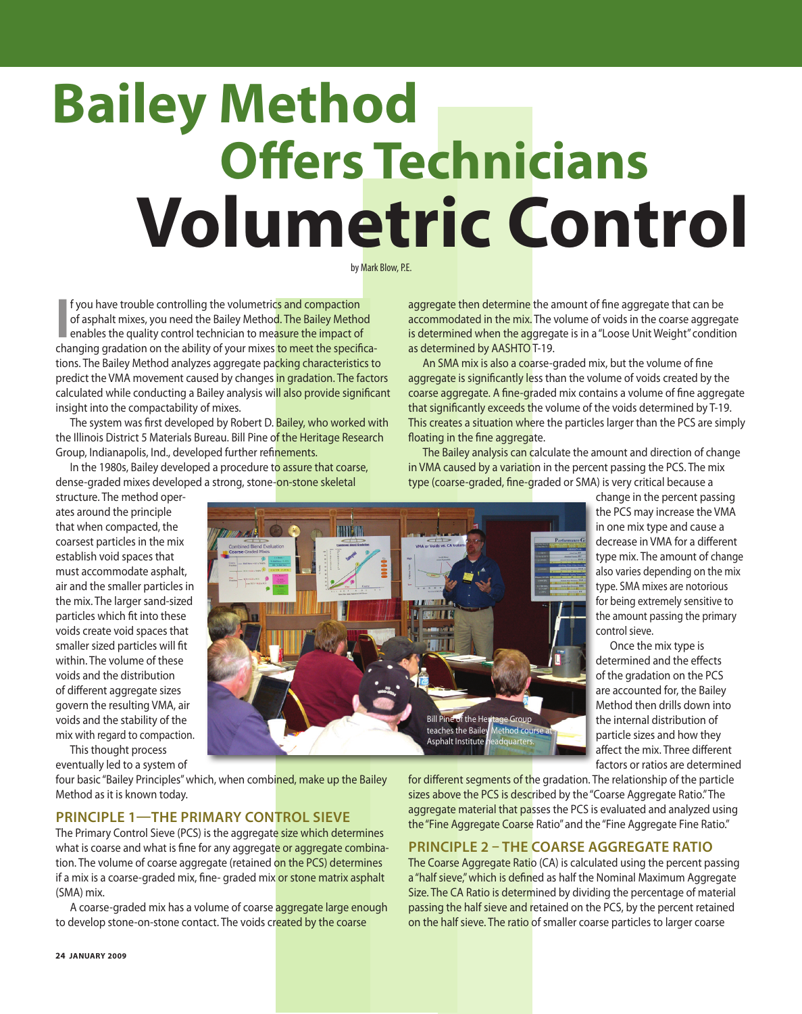# **Offers Technicians Volumetric Control Bailey Method**

by Mark Blow, P.E.

**I** f you have trouble controlling the volumetrics and compaction of asphalt mixes, you need the Bailey Method. The Bailey Method enables the quality control technician to measure the impact of changing gradation on the ab f you have trouble controlling the volumetrics and compaction of asphalt mixes, you need the Bailey Method. The Bailey Method enables the quality control technician to measure the impact of tions. The Bailey Method analyzes aggregate packing characteristics to predict the VMA movement caused by changes in gradation. The factors calculated while conducting a Bailey analysis will also provide significant insight into the compactability of mixes.

The system was first developed by Robert D. Bailey, who worked with the Illinois District 5 Materials Bureau. Bill Pine of the Heritage Research Group, Indianapolis, Ind., developed further refinements.

In the 1980s, Bailey developed a procedure to assure that coarse, dense-graded mixes developed a strong, stone-on-stone skeletal

structure. The method operates around the principle that when compacted, the coarsest particles in the mix establish void spaces that must accommodate asphalt, air and the smaller particles in the mix. The larger sand-sized particles which fit into these voids create void spaces that smaller sized particles will fit within. The volume of these voids and the distribution of different aggregate sizes govern the resulting VMA, air voids and the stability of the mix with regard to compaction.

This thought process eventually led to a system of

four basic "Bailey Principles" which, when combined, make up the Bailey Method as it is known today.

## **Principle 1—The Primary Control Sieve**

The Primary Control Sieve (PCS) is the aggregate size which determines what is coarse and what is fine for any aggregate or aggregate combination. The volume of coarse aggregate (retained on the PCS) determines if a mix is a coarse-graded mix, fine- graded mix or stone matrix asphalt (SMA) mix.

A coarse-graded mix has a volume of coarse aggregate large enough to develop stone-on-stone contact. The voids created by the coarse

aggregate then determine the amount of fine aggregate that can be accommodated in the mix. The volume of voids in the coarse aggregate is determined when the aggregate is in a "Loose Unit Weight" condition as determined by AASHTO T-19.

An SMA mix is also a coarse-graded mix, but the volume of fine aggregate is significantly less than the volume of voids created by the coarse aggregate. A fine-graded mix contains a volume of fine aggregate that significantly exceeds the volume of the voids determined by T-19. This creates a situation where the particles larger than the PCS are simply floating in the fine aggregate.

The Bailey analysis can calculate the amount and direction of change in VMA caused by a variation in the percent passing the PCS. The mix type (coarse-graded, fine-graded or SMA) is very critical because a



change in the percent passing the PCS may increase the VMA in one mix type and cause a decrease in VMA for a different type mix. The amount of change also varies depending on the mix type. SMA mixes are notorious for being extremely sensitive to the amount passing the primary control sieve.

Once the mix type is determined and the effects of the gradation on the PCS are accounted for, the Bailey Method then drills down into the internal distribution of particle sizes and how they affect the mix. Three different factors or ratios are determined

for different segments of the gradation. The relationship of the particle sizes above the PCS is described by the "Coarse Aggregate Ratio." The aggregate material that passes the PCS is evaluated and analyzed using the "Fine Aggregate Coarse Ratio" and the "Fine Aggregate Fine Ratio."

## **Principle 2 – The Coarse Aggregate Ratio**

The Coarse Aggregate Ratio (CA) is calculated using the percent passing a "half sieve," which is defined as half the Nominal Maximum Aggregate Size. The CA Ratio is determined by dividing the percentage of material passing the half sieve and retained on the PCS, by the percent retained on the half sieve. The ratio of smaller coarse particles to larger coarse